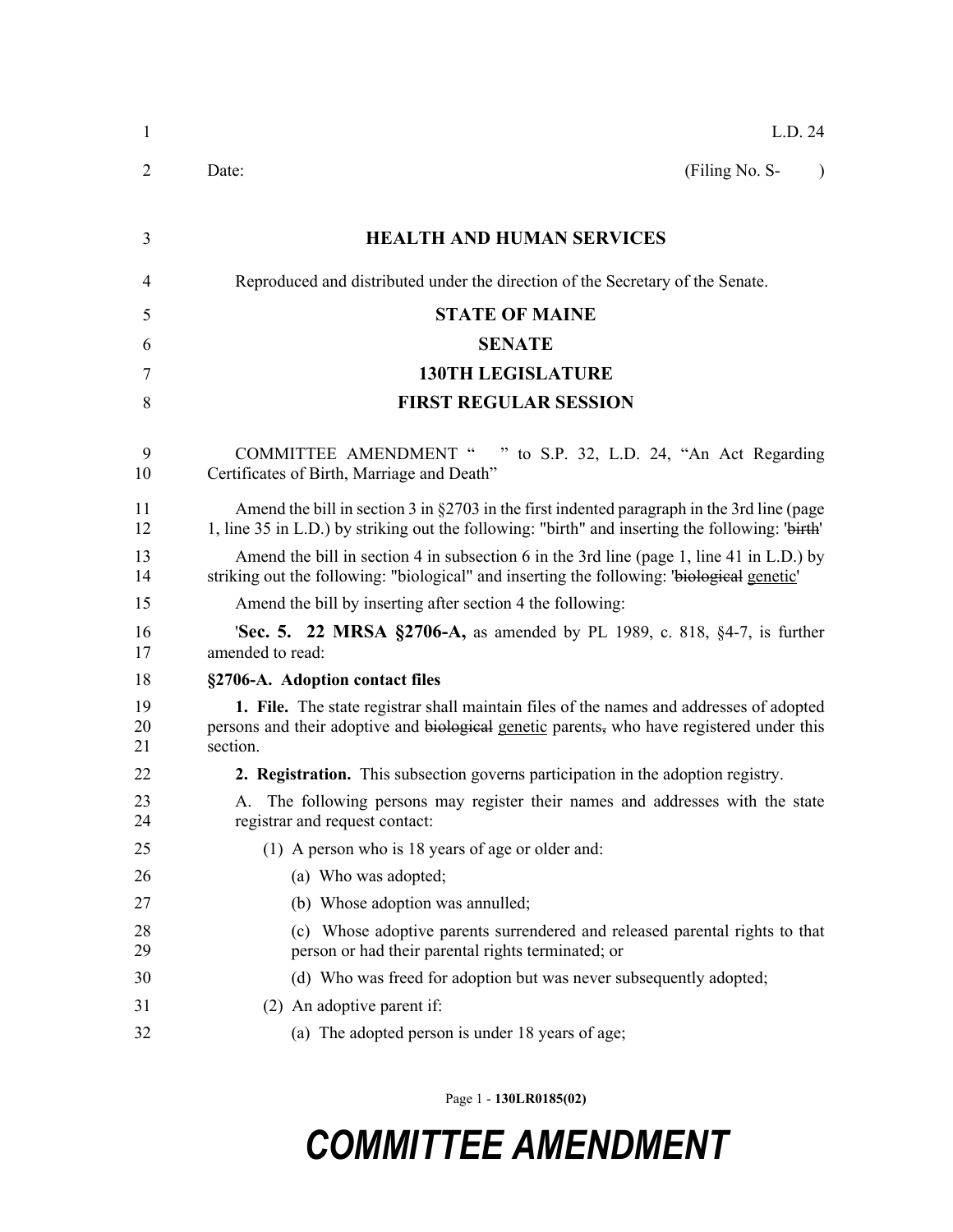| $\mathbf{1}$   | L.D. 24                                                                                                                                                                                          |
|----------------|--------------------------------------------------------------------------------------------------------------------------------------------------------------------------------------------------|
| 2              | (Filing No. S-<br>Date:<br>$\lambda$                                                                                                                                                             |
| 3              | <b>HEALTH AND HUMAN SERVICES</b>                                                                                                                                                                 |
| 4              | Reproduced and distributed under the direction of the Secretary of the Senate.                                                                                                                   |
| 5              | <b>STATE OF MAINE</b>                                                                                                                                                                            |
| 6              | <b>SENATE</b>                                                                                                                                                                                    |
| 7              | <b>130TH LEGISLATURE</b>                                                                                                                                                                         |
| 8              | <b>FIRST REGULAR SESSION</b>                                                                                                                                                                     |
|                |                                                                                                                                                                                                  |
| 9<br>10        | <b>COMMITTEE AMENDMENT "</b><br>" to S.P. 32, L.D. 24, "An Act Regarding<br>Certificates of Birth, Marriage and Death"                                                                           |
| 11<br>12       | Amend the bill in section 3 in $\S2703$ in the first indented paragraph in the 3rd line (page<br>1, line 35 in L.D.) by striking out the following: "birth" and inserting the following: "birth" |
| 13<br>14       | Amend the bill in section 4 in subsection 6 in the 3rd line (page 1, line 41 in L.D.) by<br>striking out the following: "biological" and inserting the following: "biological genetic"           |
| 15             | Amend the bill by inserting after section 4 the following:                                                                                                                                       |
| 16<br>17       | <b>Sec. 5. 22 MRSA §2706-A,</b> as amended by PL 1989, c. 818, §4-7, is further<br>amended to read:                                                                                              |
| 18             | §2706-A. Adoption contact files                                                                                                                                                                  |
| 19<br>20<br>21 | 1. File. The state registrar shall maintain files of the names and addresses of adopted<br>persons and their adoptive and biological genetic parents, who have registered under this<br>section. |
| 22             | 2. Registration. This subsection governs participation in the adoption registry.                                                                                                                 |
| 23<br>24       | A. The following persons may register their names and addresses with the state<br>registrar and request contact:                                                                                 |
| 25             | (1) A person who is 18 years of age or older and:                                                                                                                                                |
| 26             | (a) Who was adopted;                                                                                                                                                                             |
| 27             | (b) Whose adoption was annulled;                                                                                                                                                                 |
| 28<br>29       | Whose adoptive parents surrendered and released parental rights to that<br>(c)<br>person or had their parental rights terminated; or                                                             |
| 30             | (d) Who was freed for adoption but was never subsequently adopted;                                                                                                                               |
| 31             | (2) An adoptive parent if:                                                                                                                                                                       |
| 32             | (a) The adopted person is under 18 years of age;                                                                                                                                                 |

Page 1 - **130LR0185(02)**

## *COMMITTEE AMENDMENT*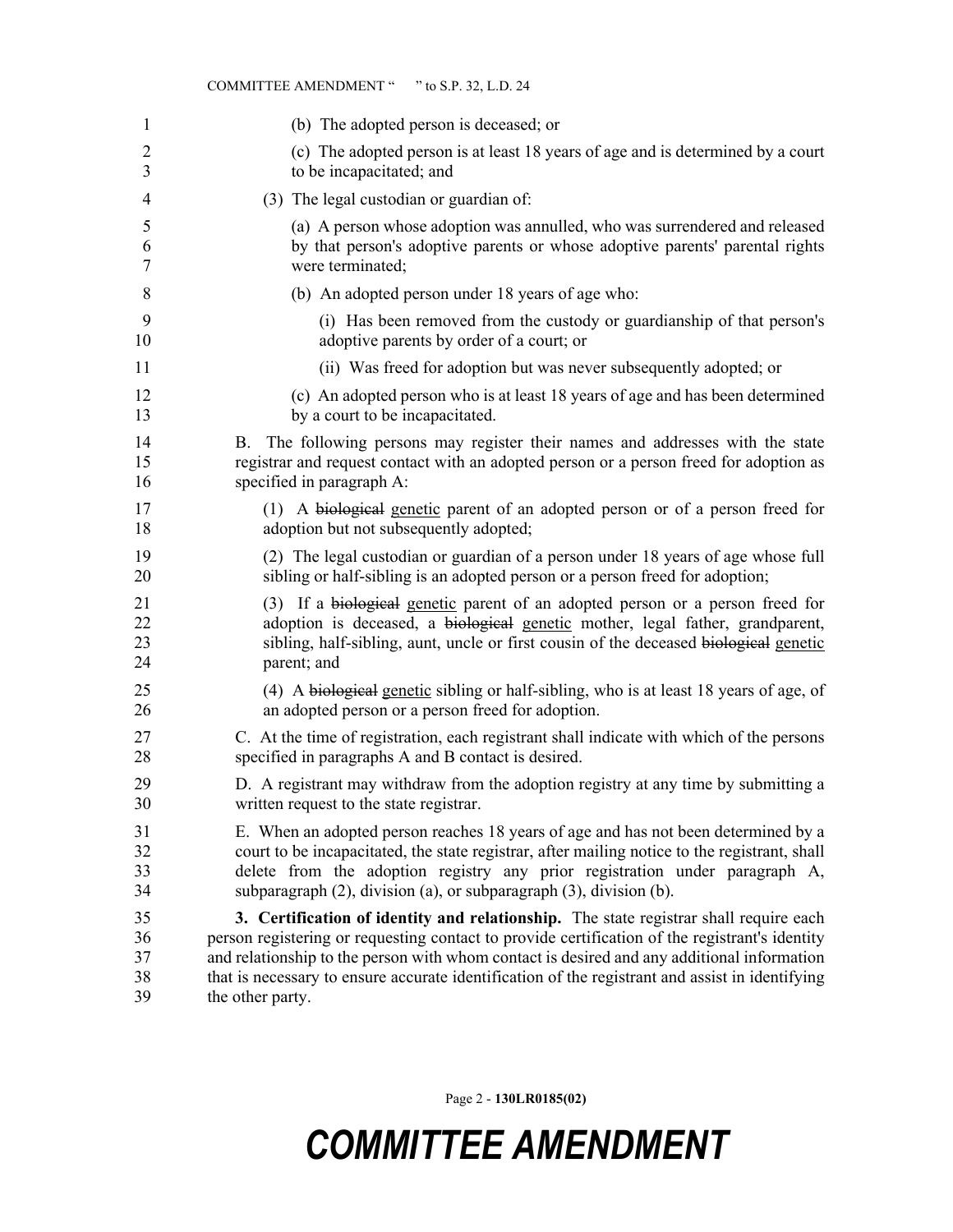| 1              | (b) The adopted person is deceased; or                                                                                                                                                                   |
|----------------|----------------------------------------------------------------------------------------------------------------------------------------------------------------------------------------------------------|
| $\overline{2}$ | (c) The adopted person is at least 18 years of age and is determined by a court                                                                                                                          |
| 3              | to be incapacitated; and                                                                                                                                                                                 |
| 4              | (3) The legal custodian or guardian of:                                                                                                                                                                  |
| 5              | (a) A person whose adoption was annulled, who was surrendered and released                                                                                                                               |
| 6              | by that person's adoptive parents or whose adoptive parents' parental rights                                                                                                                             |
| 7              | were terminated;                                                                                                                                                                                         |
| 8              | (b) An adopted person under 18 years of age who:                                                                                                                                                         |
| 9              | (i) Has been removed from the custody or guardianship of that person's                                                                                                                                   |
| 10             | adoptive parents by order of a court; or                                                                                                                                                                 |
| 11             | (ii) Was freed for adoption but was never subsequently adopted; or                                                                                                                                       |
| 12             | (c) An adopted person who is at least 18 years of age and has been determined                                                                                                                            |
| 13             | by a court to be incapacitated.                                                                                                                                                                          |
| 14<br>15<br>16 | The following persons may register their names and addresses with the state<br>В.<br>registrar and request contact with an adopted person or a person freed for adoption as<br>specified in paragraph A: |
| 17             | (1) A biological genetic parent of an adopted person or of a person freed for                                                                                                                            |
| 18             | adoption but not subsequently adopted;                                                                                                                                                                   |
| 19             | (2) The legal custodian or guardian of a person under 18 years of age whose full                                                                                                                         |
| 20             | sibling or half-sibling is an adopted person or a person freed for adoption;                                                                                                                             |
| 21             | (3) If a biological genetic parent of an adopted person or a person freed for                                                                                                                            |
| 22             | adoption is deceased, a biological genetic mother, legal father, grandparent,                                                                                                                            |
| 23             | sibling, half-sibling, aunt, uncle or first cousin of the deceased biological genetic                                                                                                                    |
| 24             | parent; and                                                                                                                                                                                              |
| 25             | (4) A biological genetic sibling or half-sibling, who is at least 18 years of age, of                                                                                                                    |
| 26             | an adopted person or a person freed for adoption.                                                                                                                                                        |
| 27             | C. At the time of registration, each registrant shall indicate with which of the persons                                                                                                                 |
| 28             | specified in paragraphs A and B contact is desired.                                                                                                                                                      |
| 29             | D. A registrant may withdraw from the adoption registry at any time by submitting a                                                                                                                      |
| 30             | written request to the state registrar.                                                                                                                                                                  |
| 31             | E. When an adopted person reaches 18 years of age and has not been determined by a                                                                                                                       |
| 32             | court to be incapacitated, the state registrar, after mailing notice to the registrant, shall                                                                                                            |
| 33             | delete from the adoption registry any prior registration under paragraph A,                                                                                                                              |
| 34             | subparagraph (2), division (a), or subparagraph (3), division (b).                                                                                                                                       |
| 35             | 3. Certification of identity and relationship. The state registrar shall require each                                                                                                                    |
| 36             | person registering or requesting contact to provide certification of the registrant's identity                                                                                                           |
| 37             | and relationship to the person with whom contact is desired and any additional information                                                                                                               |
| 38             | that is necessary to ensure accurate identification of the registrant and assist in identifying                                                                                                          |
| 39             | the other party.                                                                                                                                                                                         |

COMMITTEE AMENDMENT " " to S.P. 32, L.D. 24

Page 2 - **130LR0185(02)**

## *COMMITTEE AMENDMENT*